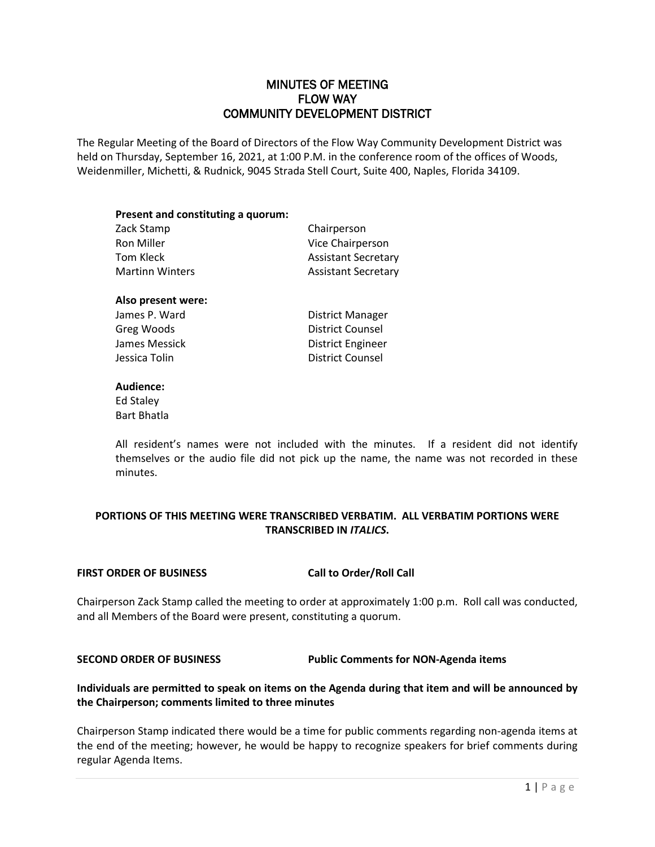## MINUTES OF MEETING FLOW WAY COMMUNITY DEVELOPMENT DISTRICT

The Regular Meeting of the Board of Directors of the Flow Way Community Development District was held on Thursday, September 16, 2021, at 1:00 P.M. in the conference room of the offices of Woods, Weidenmiller, Michetti, & Rudnick, 9045 Strada Stell Court, Suite 400, Naples, Florida 34109.

| Present and constituting a quorum: |                            |
|------------------------------------|----------------------------|
| Zack Stamp                         | Chairperson                |
| <b>Ron Miller</b>                  | Vice Chairperson           |
| Tom Kleck                          | <b>Assistant Secretary</b> |
| <b>Martinn Winters</b>             | <b>Assistant Secretary</b> |

#### **Also present were:**

James P. Ward **District Manager** Greg Woods **District Counsel** James Messick **District Engineer Jessica Tolin District Counsel** 

#### **Audience:**

Ed Staley Bart Bhatla

All resident's names were not included with the minutes. If a resident did not identify themselves or the audio file did not pick up the name, the name was not recorded in these minutes.

### **PORTIONS OF THIS MEETING WERE TRANSCRIBED VERBATIM. ALL VERBATIM PORTIONS WERE TRANSCRIBED IN** *ITALICS***.**

#### **FIRST ORDER OF BUSINESS Call to Order/Roll Call**

Chairperson Zack Stamp called the meeting to order at approximately 1:00 p.m. Roll call was conducted, and all Members of the Board were present, constituting a quorum.

**SECOND ORDER OF BUSINESS Public Comments for NON-Agenda items** 

### **Individuals are permitted to speak on items on the Agenda during that item and will be announced by the Chairperson; comments limited to three minutes**

Chairperson Stamp indicated there would be a time for public comments regarding non-agenda items at the end of the meeting; however, he would be happy to recognize speakers for brief comments during regular Agenda Items.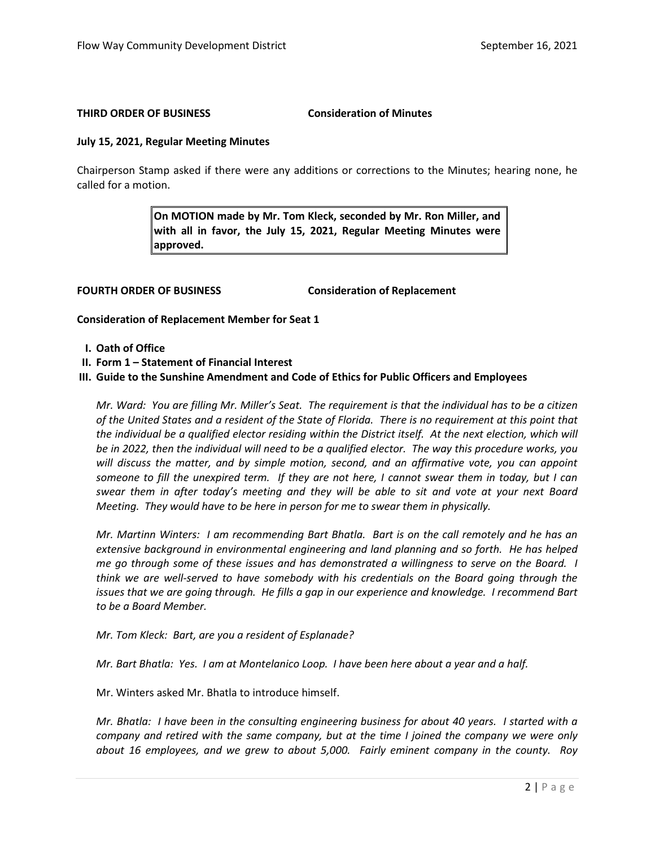#### **THIRD ORDER OF BUSINESS Consideration of Minutes**

#### **July 15, 2021, Regular Meeting Minutes**

Chairperson Stamp asked if there were any additions or corrections to the Minutes; hearing none, he called for a motion.

> **On MOTION made by Mr. Tom Kleck, seconded by Mr. Ron Miller, and with all in favor, the July 15, 2021, Regular Meeting Minutes were approved.**

**FOURTH ORDER OF BUSINESS Consideration of Replacement**

**Consideration of Replacement Member for Seat 1**

- **I. Oath of Office**
- **II. Form 1 – Statement of Financial Interest**
- **III. Guide to the Sunshine Amendment and Code of Ethics for Public Officers and Employees**

*Mr. Ward: You are filling Mr. Miller's Seat. The requirement is that the individual has to be a citizen of the United States and a resident of the State of Florida. There is no requirement at this point that*  the individual be a qualified elector residing within the District itself. At the next election, which will *be in 2022, then the individual will need to be a qualified elector. The way this procedure works, you will discuss the matter, and by simple motion, second, and an affirmative vote, you can appoint someone to fill the unexpired term. If they are not here, I cannot swear them in today, but I can swear them in after today's meeting and they will be able to sit and vote at your next Board Meeting. They would have to be here in person for me to swear them in physically.* 

*Mr. Martinn Winters: I am recommending Bart Bhatla. Bart is on the call remotely and he has an extensive background in environmental engineering and land planning and so forth. He has helped me go through some of these issues and has demonstrated a willingness to serve on the Board. I think we are well-served to have somebody with his credentials on the Board going through the issues that we are going through. He fills a gap in our experience and knowledge. I recommend Bart to be a Board Member.* 

*Mr. Tom Kleck: Bart, are you a resident of Esplanade?*

*Mr. Bart Bhatla: Yes. I am at Montelanico Loop. I have been here about a year and a half.* 

Mr. Winters asked Mr. Bhatla to introduce himself.

*Mr. Bhatla: I have been in the consulting engineering business for about 40 years. I started with a company and retired with the same company, but at the time I joined the company we were only about 16 employees, and we grew to about 5,000. Fairly eminent company in the county. Roy*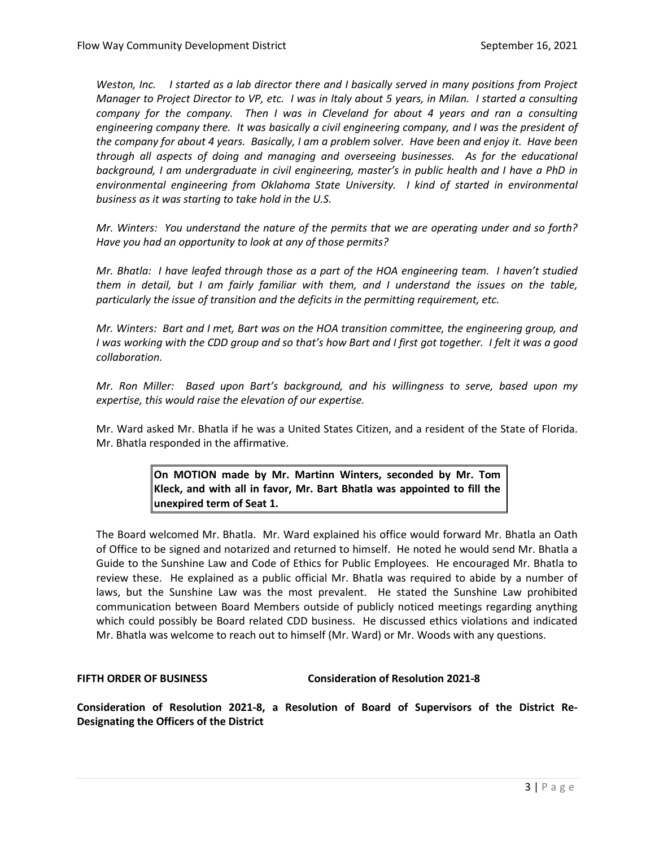*Weston, Inc. I started as a lab director there and I basically served in many positions from Project Manager to Project Director to VP, etc. I was in Italy about 5 years, in Milan. I started a consulting company for the company. Then I was in Cleveland for about 4 years and ran a consulting engineering company there. It was basically a civil engineering company, and I was the president of the company for about 4 years. Basically, I am a problem solver. Have been and enjoy it. Have been through all aspects of doing and managing and overseeing businesses. As for the educational background, I am undergraduate in civil engineering, master's in public health and I have a PhD in environmental engineering from Oklahoma State University. I kind of started in environmental business as it was starting to take hold in the U.S.* 

*Mr. Winters: You understand the nature of the permits that we are operating under and so forth? Have you had an opportunity to look at any of those permits?*

*Mr. Bhatla: I have leafed through those as a part of the HOA engineering team. I haven't studied them in detail, but I am fairly familiar with them, and I understand the issues on the table, particularly the issue of transition and the deficits in the permitting requirement, etc.* 

*Mr. Winters: Bart and I met, Bart was on the HOA transition committee, the engineering group, and I was working with the CDD group and so that's how Bart and I first got together. I felt it was a good collaboration.* 

*Mr. Ron Miller: Based upon Bart's background, and his willingness to serve, based upon my expertise, this would raise the elevation of our expertise.* 

Mr. Ward asked Mr. Bhatla if he was a United States Citizen, and a resident of the State of Florida. Mr. Bhatla responded in the affirmative.

> **On MOTION made by Mr. Martinn Winters, seconded by Mr. Tom Kleck, and with all in favor, Mr. Bart Bhatla was appointed to fill the unexpired term of Seat 1.**

The Board welcomed Mr. Bhatla. Mr. Ward explained his office would forward Mr. Bhatla an Oath of Office to be signed and notarized and returned to himself. He noted he would send Mr. Bhatla a Guide to the Sunshine Law and Code of Ethics for Public Employees. He encouraged Mr. Bhatla to review these. He explained as a public official Mr. Bhatla was required to abide by a number of laws, but the Sunshine Law was the most prevalent. He stated the Sunshine Law prohibited communication between Board Members outside of publicly noticed meetings regarding anything which could possibly be Board related CDD business. He discussed ethics violations and indicated Mr. Bhatla was welcome to reach out to himself (Mr. Ward) or Mr. Woods with any questions.

### **FIFTH ORDER OF BUSINESS Consideration of Resolution 2021-8**

**Consideration of Resolution 2021-8, a Resolution of Board of Supervisors of the District Re-Designating the Officers of the District**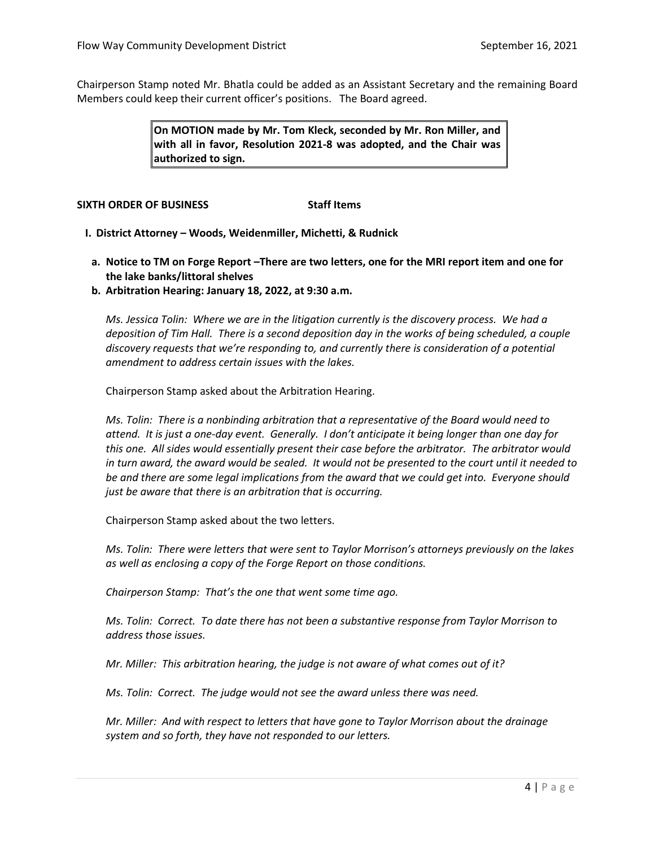Chairperson Stamp noted Mr. Bhatla could be added as an Assistant Secretary and the remaining Board Members could keep their current officer's positions. The Board agreed.

> **On MOTION made by Mr. Tom Kleck, seconded by Mr. Ron Miller, and with all in favor, Resolution 2021-8 was adopted, and the Chair was authorized to sign.**

#### **SIXTH ORDER OF BUSINESS Staff Items**

- **I. District Attorney – Woods, Weidenmiller, Michetti, & Rudnick**
- **a. Notice to TM on Forge Report –There are two letters, one for the MRI report item and one for the lake banks/littoral shelves**
- **b. Arbitration Hearing: January 18, 2022, at 9:30 a.m.**

*Ms. Jessica Tolin: Where we are in the litigation currently is the discovery process. We had a deposition of Tim Hall. There is a second deposition day in the works of being scheduled, a couple discovery requests that we're responding to, and currently there is consideration of a potential amendment to address certain issues with the lakes.* 

Chairperson Stamp asked about the Arbitration Hearing.

*Ms. Tolin: There is a nonbinding arbitration that a representative of the Board would need to attend. It is just a one-day event. Generally. I don't anticipate it being longer than one day for this one. All sides would essentially present their case before the arbitrator. The arbitrator would in turn award, the award would be sealed. It would not be presented to the court until it needed to be and there are some legal implications from the award that we could get into. Everyone should just be aware that there is an arbitration that is occurring.* 

Chairperson Stamp asked about the two letters.

*Ms. Tolin: There were letters that were sent to Taylor Morrison's attorneys previously on the lakes as well as enclosing a copy of the Forge Report on those conditions.* 

*Chairperson Stamp: That's the one that went some time ago.*

*Ms. Tolin: Correct. To date there has not been a substantive response from Taylor Morrison to address those issues.* 

*Mr. Miller: This arbitration hearing, the judge is not aware of what comes out of it?*

*Ms. Tolin: Correct. The judge would not see the award unless there was need.* 

*Mr. Miller: And with respect to letters that have gone to Taylor Morrison about the drainage system and so forth, they have not responded to our letters.*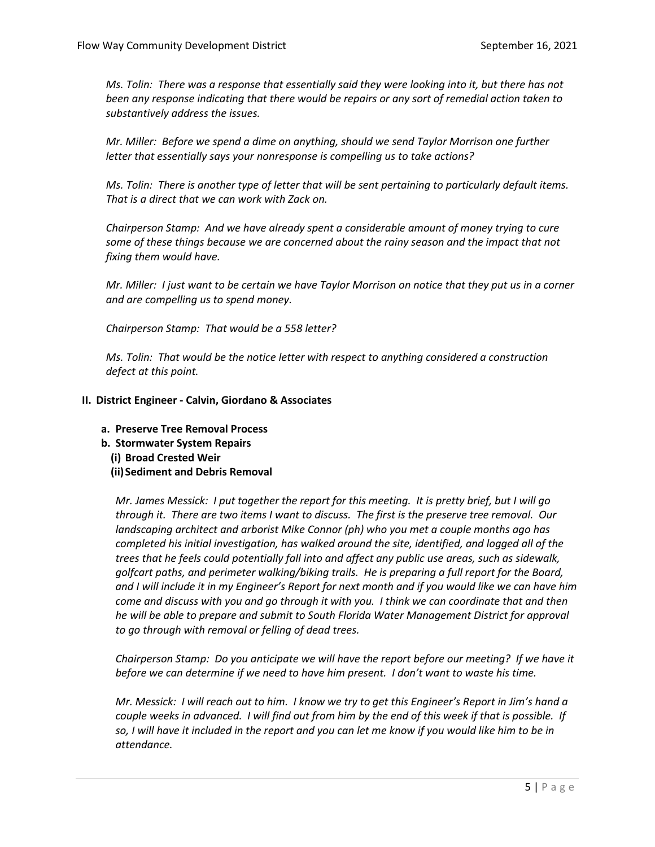*Ms. Tolin: There was a response that essentially said they were looking into it, but there has not been any response indicating that there would be repairs or any sort of remedial action taken to substantively address the issues.*

*Mr. Miller: Before we spend a dime on anything, should we send Taylor Morrison one further letter that essentially says your nonresponse is compelling us to take actions?* 

*Ms. Tolin: There is another type of letter that will be sent pertaining to particularly default items. That is a direct that we can work with Zack on.* 

*Chairperson Stamp: And we have already spent a considerable amount of money trying to cure some of these things because we are concerned about the rainy season and the impact that not fixing them would have.* 

*Mr. Miller: I just want to be certain we have Taylor Morrison on notice that they put us in a corner and are compelling us to spend money.* 

*Chairperson Stamp: That would be a 558 letter?*

*Ms. Tolin: That would be the notice letter with respect to anything considered a construction defect at this point.* 

#### **II. District Engineer - Calvin, Giordano & Associates**

- **a. Preserve Tree Removal Process**
- **b. Stormwater System Repairs**
	- **(i) Broad Crested Weir**
	- **(ii)Sediment and Debris Removal**

*Mr. James Messick: I put together the report for this meeting. It is pretty brief, but I will go through it. There are two items I want to discuss. The first is the preserve tree removal. Our landscaping architect and arborist Mike Connor (ph) who you met a couple months ago has completed his initial investigation, has walked around the site, identified, and logged all of the trees that he feels could potentially fall into and affect any public use areas, such as sidewalk, golfcart paths, and perimeter walking/biking trails. He is preparing a full report for the Board, and I will include it in my Engineer's Report for next month and if you would like we can have him come and discuss with you and go through it with you. I think we can coordinate that and then he will be able to prepare and submit to South Florida Water Management District for approval to go through with removal or felling of dead trees.* 

*Chairperson Stamp: Do you anticipate we will have the report before our meeting? If we have it before we can determine if we need to have him present. I don't want to waste his time.*

*Mr. Messick: I will reach out to him. I know we try to get this Engineer's Report in Jim's hand a couple weeks in advanced. I will find out from him by the end of this week if that is possible. If so, I will have it included in the report and you can let me know if you would like him to be in attendance.*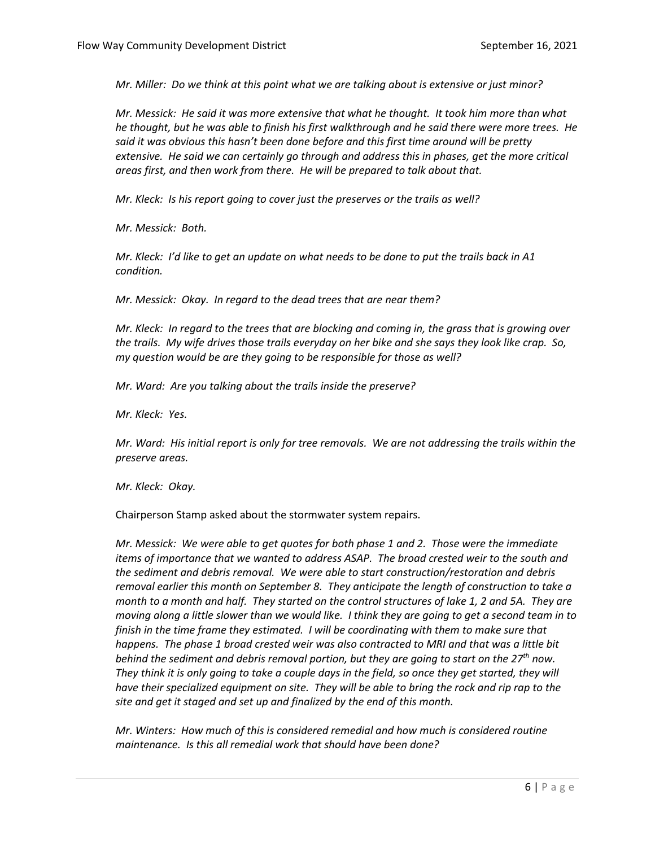*Mr. Miller: Do we think at this point what we are talking about is extensive or just minor?*

*Mr. Messick: He said it was more extensive that what he thought. It took him more than what he thought, but he was able to finish his first walkthrough and he said there were more trees. He*  said it was obvious this hasn't been done before and this first time around will be pretty *extensive. He said we can certainly go through and address this in phases, get the more critical areas first, and then work from there. He will be prepared to talk about that.* 

*Mr. Kleck: Is his report going to cover just the preserves or the trails as well?*

*Mr. Messick: Both.* 

*Mr. Kleck: I'd like to get an update on what needs to be done to put the trails back in A1 condition.* 

*Mr. Messick: Okay. In regard to the dead trees that are near them?*

*Mr. Kleck: In regard to the trees that are blocking and coming in, the grass that is growing over the trails. My wife drives those trails everyday on her bike and she says they look like crap. So, my question would be are they going to be responsible for those as well?*

*Mr. Ward: Are you talking about the trails inside the preserve?*

*Mr. Kleck: Yes.*

*Mr. Ward: His initial report is only for tree removals. We are not addressing the trails within the preserve areas.* 

*Mr. Kleck: Okay.*

Chairperson Stamp asked about the stormwater system repairs.

*Mr. Messick: We were able to get quotes for both phase 1 and 2. Those were the immediate items of importance that we wanted to address ASAP. The broad crested weir to the south and the sediment and debris removal. We were able to start construction/restoration and debris removal earlier this month on September 8. They anticipate the length of construction to take a month to a month and half. They started on the control structures of lake 1, 2 and 5A. They are moving along a little slower than we would like. I think they are going to get a second team in to finish in the time frame they estimated. I will be coordinating with them to make sure that happens. The phase 1 broad crested weir was also contracted to MRI and that was a little bit behind the sediment and debris removal portion, but they are going to start on the 27th now. They think it is only going to take a couple days in the field, so once they get started, they will have their specialized equipment on site. They will be able to bring the rock and rip rap to the site and get it staged and set up and finalized by the end of this month.* 

*Mr. Winters: How much of this is considered remedial and how much is considered routine maintenance. Is this all remedial work that should have been done?*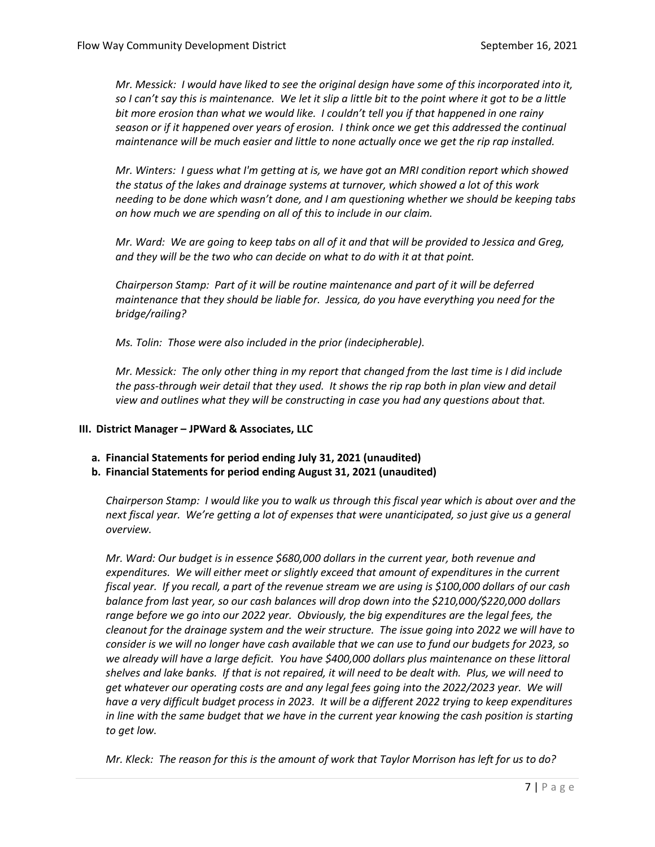*Mr. Messick: I would have liked to see the original design have some of this incorporated into it, so I can't say this is maintenance. We let it slip a little bit to the point where it got to be a little bit more erosion than what we would like. I couldn't tell you if that happened in one rainy season or if it happened over years of erosion. I think once we get this addressed the continual maintenance will be much easier and little to none actually once we get the rip rap installed.* 

*Mr. Winters: I guess what I'm getting at is, we have got an MRI condition report which showed the status of the lakes and drainage systems at turnover, which showed a lot of this work needing to be done which wasn't done, and I am questioning whether we should be keeping tabs on how much we are spending on all of this to include in our claim.* 

*Mr. Ward: We are going to keep tabs on all of it and that will be provided to Jessica and Greg, and they will be the two who can decide on what to do with it at that point.* 

*Chairperson Stamp: Part of it will be routine maintenance and part of it will be deferred maintenance that they should be liable for. Jessica, do you have everything you need for the bridge/railing?*

*Ms. Tolin: Those were also included in the prior (indecipherable).* 

*Mr. Messick: The only other thing in my report that changed from the last time is I did include the pass-through weir detail that they used. It shows the rip rap both in plan view and detail view and outlines what they will be constructing in case you had any questions about that.* 

#### **III. District Manager – JPWard & Associates, LLC**

- **a. Financial Statements for period ending July 31, 2021 (unaudited)**
- **b. Financial Statements for period ending August 31, 2021 (unaudited)**

*Chairperson Stamp: I would like you to walk us through this fiscal year which is about over and the next fiscal year. We're getting a lot of expenses that were unanticipated, so just give us a general overview.*

*Mr. Ward: Our budget is in essence \$680,000 dollars in the current year, both revenue and expenditures. We will either meet or slightly exceed that amount of expenditures in the current fiscal year. If you recall, a part of the revenue stream we are using is \$100,000 dollars of our cash balance from last year, so our cash balances will drop down into the \$210,000/\$220,000 dollars range before we go into our 2022 year. Obviously, the big expenditures are the legal fees, the cleanout for the drainage system and the weir structure. The issue going into 2022 we will have to consider is we will no longer have cash available that we can use to fund our budgets for 2023, so we already will have a large deficit. You have \$400,000 dollars plus maintenance on these littoral shelves and lake banks. If that is not repaired, it will need to be dealt with. Plus, we will need to get whatever our operating costs are and any legal fees going into the 2022/2023 year. We will have a very difficult budget process in 2023. It will be a different 2022 trying to keep expenditures in line with the same budget that we have in the current year knowing the cash position is starting to get low.* 

*Mr. Kleck: The reason for this is the amount of work that Taylor Morrison has left for us to do?*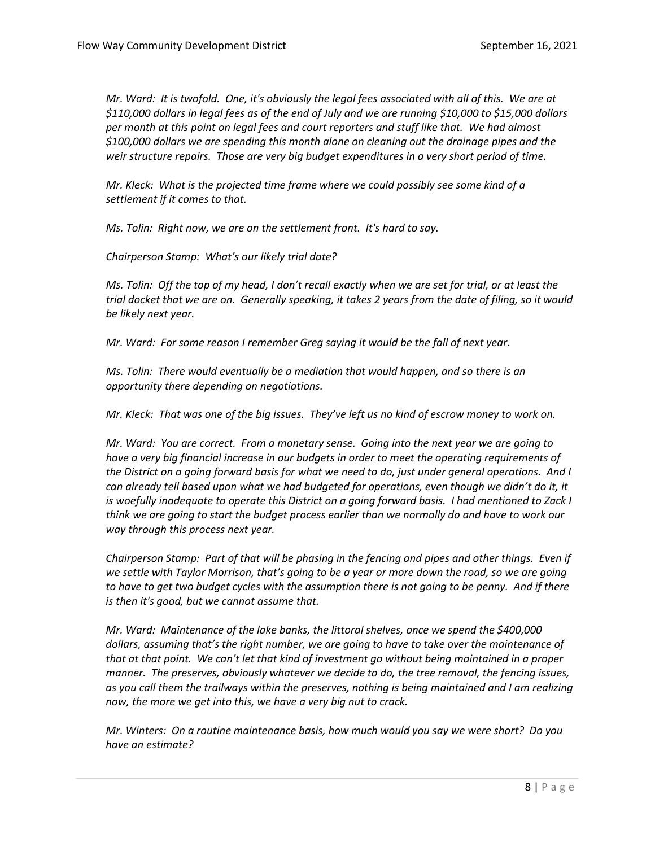*Mr. Ward: It is twofold. One, it's obviously the legal fees associated with all of this. We are at \$110,000 dollars in legal fees as of the end of July and we are running \$10,000 to \$15,000 dollars per month at this point on legal fees and court reporters and stuff like that. We had almost \$100,000 dollars we are spending this month alone on cleaning out the drainage pipes and the weir structure repairs. Those are very big budget expenditures in a very short period of time.* 

*Mr. Kleck: What is the projected time frame where we could possibly see some kind of a settlement if it comes to that.* 

*Ms. Tolin: Right now, we are on the settlement front. It's hard to say.*

*Chairperson Stamp: What's our likely trial date?*

*Ms. Tolin: Off the top of my head, I don't recall exactly when we are set for trial, or at least the trial docket that we are on. Generally speaking, it takes 2 years from the date of filing, so it would be likely next year.* 

*Mr. Ward: For some reason I remember Greg saying it would be the fall of next year.* 

*Ms. Tolin: There would eventually be a mediation that would happen, and so there is an opportunity there depending on negotiations.* 

*Mr. Kleck: That was one of the big issues. They've left us no kind of escrow money to work on.* 

*Mr. Ward: You are correct. From a monetary sense. Going into the next year we are going to have a very big financial increase in our budgets in order to meet the operating requirements of the District on a going forward basis for what we need to do, just under general operations. And I can already tell based upon what we had budgeted for operations, even though we didn't do it, it is woefully inadequate to operate this District on a going forward basis. I had mentioned to Zack I think we are going to start the budget process earlier than we normally do and have to work our way through this process next year.* 

*Chairperson Stamp: Part of that will be phasing in the fencing and pipes and other things. Even if we settle with Taylor Morrison, that's going to be a year or more down the road, so we are going to have to get two budget cycles with the assumption there is not going to be penny. And if there is then it's good, but we cannot assume that.*

*Mr. Ward: Maintenance of the lake banks, the littoral shelves, once we spend the \$400,000 dollars, assuming that's the right number, we are going to have to take over the maintenance of that at that point. We can't let that kind of investment go without being maintained in a proper manner. The preserves, obviously whatever we decide to do, the tree removal, the fencing issues, as you call them the trailways within the preserves, nothing is being maintained and I am realizing now, the more we get into this, we have a very big nut to crack.* 

*Mr. Winters: On a routine maintenance basis, how much would you say we were short? Do you have an estimate?*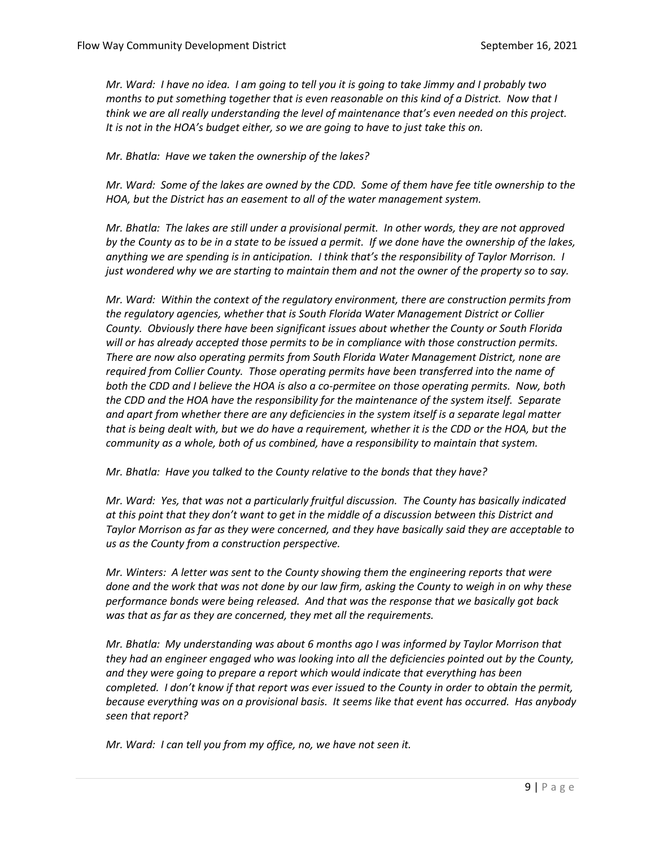*Mr. Ward: I have no idea. I am going to tell you it is going to take Jimmy and I probably two months to put something together that is even reasonable on this kind of a District. Now that I think we are all really understanding the level of maintenance that's even needed on this project. It is not in the HOA's budget either, so we are going to have to just take this on.* 

*Mr. Bhatla: Have we taken the ownership of the lakes?*

*Mr. Ward: Some of the lakes are owned by the CDD. Some of them have fee title ownership to the HOA, but the District has an easement to all of the water management system.* 

*Mr. Bhatla: The lakes are still under a provisional permit. In other words, they are not approved by the County as to be in a state to be issued a permit. If we done have the ownership of the lakes, anything we are spending is in anticipation. I think that's the responsibility of Taylor Morrison. I just wondered why we are starting to maintain them and not the owner of the property so to say.*

*Mr. Ward: Within the context of the regulatory environment, there are construction permits from the regulatory agencies, whether that is South Florida Water Management District or Collier County. Obviously there have been significant issues about whether the County or South Florida will or has already accepted those permits to be in compliance with those construction permits. There are now also operating permits from South Florida Water Management District, none are required from Collier County. Those operating permits have been transferred into the name of both the CDD and I believe the HOA is also a co-permitee on those operating permits. Now, both the CDD and the HOA have the responsibility for the maintenance of the system itself. Separate and apart from whether there are any deficiencies in the system itself is a separate legal matter that is being dealt with, but we do have a requirement, whether it is the CDD or the HOA, but the community as a whole, both of us combined, have a responsibility to maintain that system.* 

*Mr. Bhatla: Have you talked to the County relative to the bonds that they have?*

*Mr. Ward: Yes, that was not a particularly fruitful discussion. The County has basically indicated at this point that they don't want to get in the middle of a discussion between this District and Taylor Morrison as far as they were concerned, and they have basically said they are acceptable to us as the County from a construction perspective.* 

*Mr. Winters: A letter was sent to the County showing them the engineering reports that were done and the work that was not done by our law firm, asking the County to weigh in on why these performance bonds were being released. And that was the response that we basically got back was that as far as they are concerned, they met all the requirements.* 

*Mr. Bhatla: My understanding was about 6 months ago I was informed by Taylor Morrison that they had an engineer engaged who was looking into all the deficiencies pointed out by the County, and they were going to prepare a report which would indicate that everything has been completed. I don't know if that report was ever issued to the County in order to obtain the permit, because everything was on a provisional basis. It seems like that event has occurred. Has anybody seen that report?*

*Mr. Ward: I can tell you from my office, no, we have not seen it.*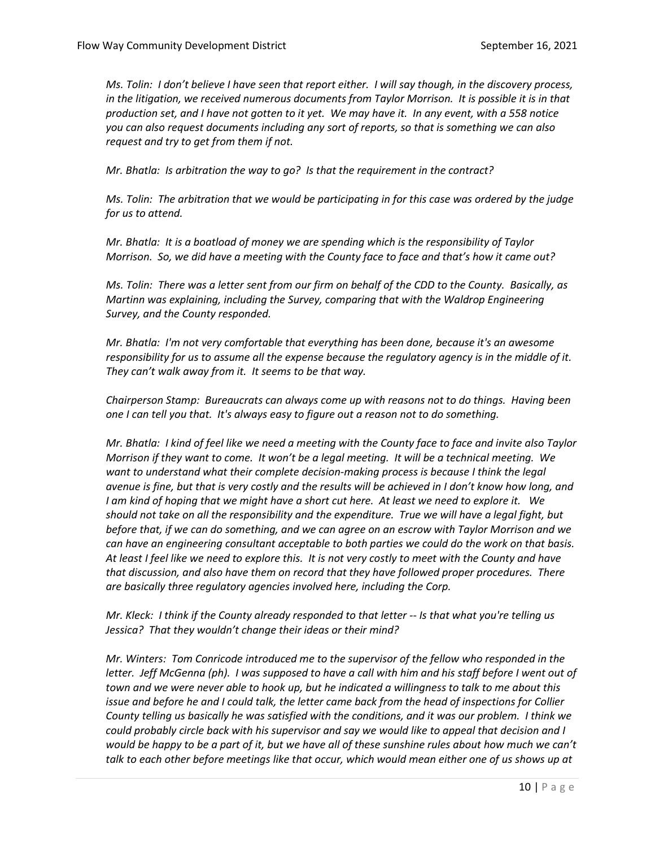*Ms. Tolin: I don't believe I have seen that report either. I will say though, in the discovery process, in the litigation, we received numerous documents from Taylor Morrison. It is possible it is in that production set, and I have not gotten to it yet. We may have it. In any event, with a 558 notice you can also request documents including any sort of reports, so that is something we can also request and try to get from them if not.* 

*Mr. Bhatla: Is arbitration the way to go? Is that the requirement in the contract?*

*Ms. Tolin: The arbitration that we would be participating in for this case was ordered by the judge for us to attend.* 

*Mr. Bhatla: It is a boatload of money we are spending which is the responsibility of Taylor Morrison. So, we did have a meeting with the County face to face and that's how it came out?*

*Ms. Tolin: There was a letter sent from our firm on behalf of the CDD to the County. Basically, as Martinn was explaining, including the Survey, comparing that with the Waldrop Engineering Survey, and the County responded.* 

*Mr. Bhatla: I'm not very comfortable that everything has been done, because it's an awesome responsibility for us to assume all the expense because the regulatory agency is in the middle of it. They can't walk away from it. It seems to be that way.* 

*Chairperson Stamp: Bureaucrats can always come up with reasons not to do things. Having been one I can tell you that. It's always easy to figure out a reason not to do something.*

*Mr. Bhatla: I kind of feel like we need a meeting with the County face to face and invite also Taylor Morrison if they want to come. It won't be a legal meeting. It will be a technical meeting. We want to understand what their complete decision-making process is because I think the legal avenue is fine, but that is very costly and the results will be achieved in I don't know how long, and I am kind of hoping that we might have a short cut here. At least we need to explore it. We should not take on all the responsibility and the expenditure. True we will have a legal fight, but before that, if we can do something, and we can agree on an escrow with Taylor Morrison and we can have an engineering consultant acceptable to both parties we could do the work on that basis. At least I feel like we need to explore this. It is not very costly to meet with the County and have that discussion, and also have them on record that they have followed proper procedures. There are basically three regulatory agencies involved here, including the Corp.*

*Mr. Kleck: I think if the County already responded to that letter -- Is that what you're telling us Jessica? That they wouldn't change their ideas or their mind?*

*Mr. Winters: Tom Conricode introduced me to the supervisor of the fellow who responded in the letter. Jeff McGenna (ph). I was supposed to have a call with him and his staff before I went out of town and we were never able to hook up, but he indicated a willingness to talk to me about this issue and before he and I could talk, the letter came back from the head of inspections for Collier County telling us basically he was satisfied with the conditions, and it was our problem. I think we could probably circle back with his supervisor and say we would like to appeal that decision and I would be happy to be a part of it, but we have all of these sunshine rules about how much we can't talk to each other before meetings like that occur, which would mean either one of us shows up at*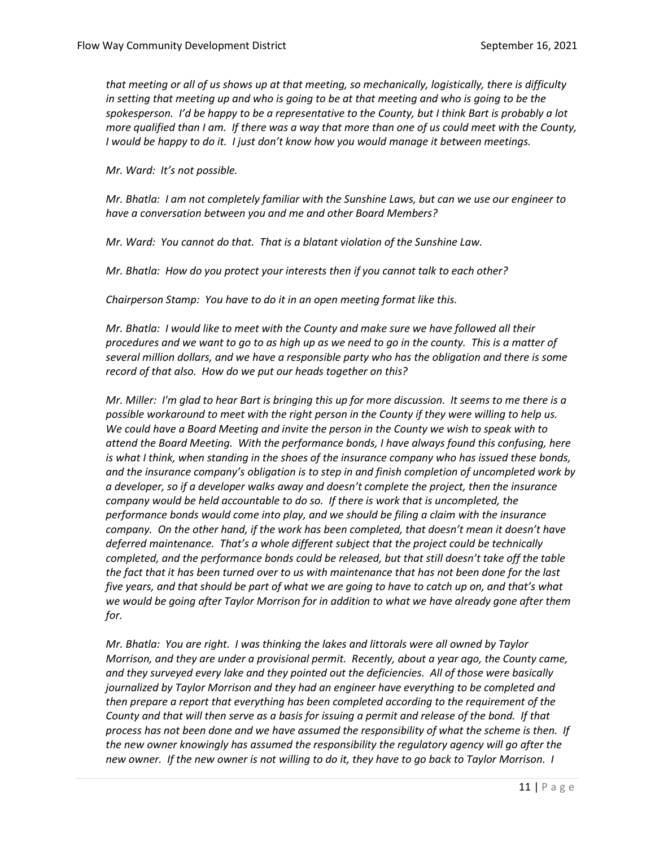*that meeting or all of us shows up at that meeting, so mechanically, logistically, there is difficulty in setting that meeting up and who is going to be at that meeting and who is going to be the spokesperson. I'd be happy to be a representative to the County, but I think Bart is probably a lot more qualified than I am. If there was a way that more than one of us could meet with the County, I would be happy to do it. I just don't know how you would manage it between meetings.* 

*Mr. Ward: It's not possible.*

*Mr. Bhatla: I am not completely familiar with the Sunshine Laws, but can we use our engineer to have a conversation between you and me and other Board Members?*

*Mr. Ward: You cannot do that. That is a blatant violation of the Sunshine Law.* 

*Mr. Bhatla: How do you protect your interests then if you cannot talk to each other?* 

*Chairperson Stamp: You have to do it in an open meeting format like this.* 

*Mr. Bhatla: I would like to meet with the County and make sure we have followed all their procedures and we want to go to as high up as we need to go in the county. This is a matter of several million dollars, and we have a responsible party who has the obligation and there is some record of that also. How do we put our heads together on this?* 

*Mr. Miller: I'm glad to hear Bart is bringing this up for more discussion. It seems to me there is a possible workaround to meet with the right person in the County if they were willing to help us. We could have a Board Meeting and invite the person in the County we wish to speak with to attend the Board Meeting. With the performance bonds, I have always found this confusing, here is what I think, when standing in the shoes of the insurance company who has issued these bonds, and the insurance company's obligation is to step in and finish completion of uncompleted work by a developer, so if a developer walks away and doesn't complete the project, then the insurance company would be held accountable to do so. If there is work that is uncompleted, the performance bonds would come into play, and we should be filing a claim with the insurance company. On the other hand, if the work has been completed, that doesn't mean it doesn't have deferred maintenance. That's a whole different subject that the project could be technically completed, and the performance bonds could be released, but that still doesn't take off the table the fact that it has been turned over to us with maintenance that has not been done for the last five years, and that should be part of what we are going to have to catch up on, and that's what we would be going after Taylor Morrison for in addition to what we have already gone after them for.* 

*Mr. Bhatla: You are right. I was thinking the lakes and littorals were all owned by Taylor Morrison, and they are under a provisional permit. Recently, about a year ago, the County came, and they surveyed every lake and they pointed out the deficiencies. All of those were basically journalized by Taylor Morrison and they had an engineer have everything to be completed and then prepare a report that everything has been completed according to the requirement of the County and that will then serve as a basis for issuing a permit and release of the bond. If that process has not been done and we have assumed the responsibility of what the scheme is then. If the new owner knowingly has assumed the responsibility the regulatory agency will go after the new owner. If the new owner is not willing to do it, they have to go back to Taylor Morrison. I*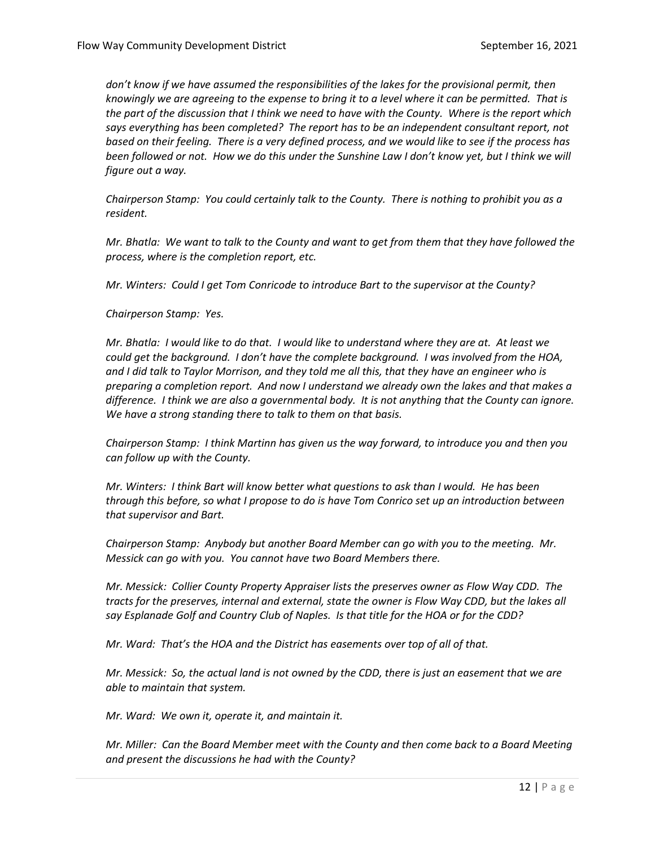*don't know if we have assumed the responsibilities of the lakes for the provisional permit, then knowingly we are agreeing to the expense to bring it to a level where it can be permitted. That is the part of the discussion that I think we need to have with the County. Where is the report which says everything has been completed? The report has to be an independent consultant report, not based on their feeling. There is a very defined process, and we would like to see if the process has been followed or not. How we do this under the Sunshine Law I don't know yet, but I think we will figure out a way.* 

*Chairperson Stamp: You could certainly talk to the County. There is nothing to prohibit you as a resident.*

*Mr. Bhatla: We want to talk to the County and want to get from them that they have followed the process, where is the completion report, etc.* 

*Mr. Winters: Could I get Tom Conricode to introduce Bart to the supervisor at the County?*

*Chairperson Stamp: Yes.*

*Mr. Bhatla: I would like to do that. I would like to understand where they are at. At least we could get the background. I don't have the complete background. I was involved from the HOA, and I did talk to Taylor Morrison, and they told me all this, that they have an engineer who is preparing a completion report. And now I understand we already own the lakes and that makes a difference. I think we are also a governmental body. It is not anything that the County can ignore. We have a strong standing there to talk to them on that basis.*

*Chairperson Stamp: I think Martinn has given us the way forward, to introduce you and then you can follow up with the County.* 

*Mr. Winters: I think Bart will know better what questions to ask than I would. He has been through this before, so what I propose to do is have Tom Conrico set up an introduction between that supervisor and Bart.* 

*Chairperson Stamp: Anybody but another Board Member can go with you to the meeting. Mr. Messick can go with you. You cannot have two Board Members there.* 

*Mr. Messick: Collier County Property Appraiser lists the preserves owner as Flow Way CDD. The tracts for the preserves, internal and external, state the owner is Flow Way CDD, but the lakes all say Esplanade Golf and Country Club of Naples. Is that title for the HOA or for the CDD?*

*Mr. Ward: That's the HOA and the District has easements over top of all of that.* 

*Mr. Messick: So, the actual land is not owned by the CDD, there is just an easement that we are able to maintain that system.*

*Mr. Ward: We own it, operate it, and maintain it.* 

*Mr. Miller: Can the Board Member meet with the County and then come back to a Board Meeting and present the discussions he had with the County?*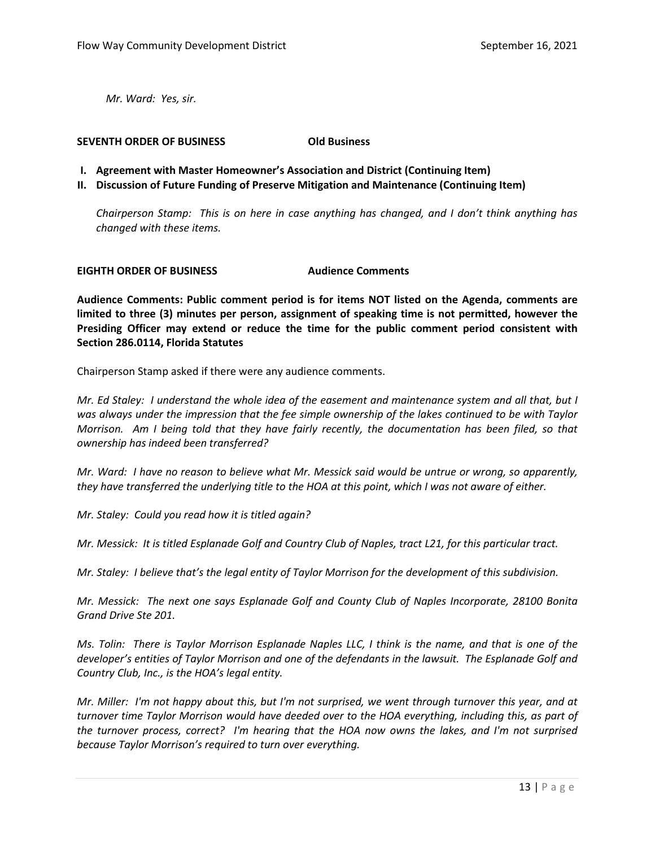*Mr. Ward: Yes, sir.* 

#### **SEVENTH ORDER OF BUSINESS Old Business**

- **I. Agreement with Master Homeowner's Association and District (Continuing Item)**
- **II. Discussion of Future Funding of Preserve Mitigation and Maintenance (Continuing Item)**

*Chairperson Stamp: This is on here in case anything has changed, and I don't think anything has changed with these items.* 

#### **EIGHTH ORDER OF BUSINESS Audience Comments**

**Audience Comments: Public comment period is for items NOT listed on the Agenda, comments are limited to three (3) minutes per person, assignment of speaking time is not permitted, however the Presiding Officer may extend or reduce the time for the public comment period consistent with Section 286.0114, Florida Statutes**

Chairperson Stamp asked if there were any audience comments.

*Mr. Ed Staley: I understand the whole idea of the easement and maintenance system and all that, but I was always under the impression that the fee simple ownership of the lakes continued to be with Taylor Morrison. Am I being told that they have fairly recently, the documentation has been filed, so that ownership has indeed been transferred?*

*Mr. Ward: I have no reason to believe what Mr. Messick said would be untrue or wrong, so apparently, they have transferred the underlying title to the HOA at this point, which I was not aware of either.* 

*Mr. Staley: Could you read how it is titled again?*

*Mr. Messick: It is titled Esplanade Golf and Country Club of Naples, tract L21, for this particular tract.*

*Mr. Staley: I believe that's the legal entity of Taylor Morrison for the development of this subdivision.*

*Mr. Messick: The next one says Esplanade Golf and County Club of Naples Incorporate, 28100 Bonita Grand Drive Ste 201.* 

*Ms. Tolin: There is Taylor Morrison Esplanade Naples LLC, I think is the name, and that is one of the developer's entities of Taylor Morrison and one of the defendants in the lawsuit. The Esplanade Golf and Country Club, Inc., is the HOA's legal entity.* 

*Mr. Miller: I'm not happy about this, but I'm not surprised, we went through turnover this year, and at turnover time Taylor Morrison would have deeded over to the HOA everything, including this, as part of the turnover process, correct? I'm hearing that the HOA now owns the lakes, and I'm not surprised because Taylor Morrison's required to turn over everything.*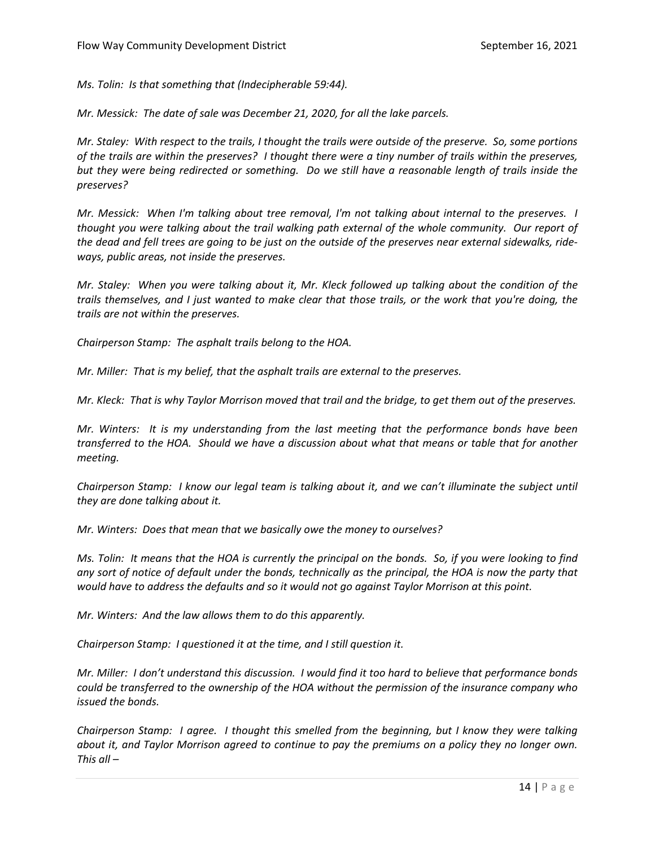*Ms. Tolin: Is that something that (Indecipherable 59:44).* 

*Mr. Messick: The date of sale was December 21, 2020, for all the lake parcels.* 

*Mr. Staley: With respect to the trails, I thought the trails were outside of the preserve. So, some portions of the trails are within the preserves? I thought there were a tiny number of trails within the preserves, but they were being redirected or something. Do we still have a reasonable length of trails inside the preserves?*

*Mr. Messick: When I'm talking about tree removal, I'm not talking about internal to the preserves. I thought you were talking about the trail walking path external of the whole community. Our report of the dead and fell trees are going to be just on the outside of the preserves near external sidewalks, rideways, public areas, not inside the preserves.* 

*Mr. Staley: When you were talking about it, Mr. Kleck followed up talking about the condition of the trails themselves, and I just wanted to make clear that those trails, or the work that you're doing, the trails are not within the preserves.*

*Chairperson Stamp: The asphalt trails belong to the HOA.* 

*Mr. Miller: That is my belief, that the asphalt trails are external to the preserves.* 

*Mr. Kleck: That is why Taylor Morrison moved that trail and the bridge, to get them out of the preserves.* 

*Mr. Winters: It is my understanding from the last meeting that the performance bonds have been transferred to the HOA. Should we have a discussion about what that means or table that for another meeting.*

*Chairperson Stamp: I know our legal team is talking about it, and we can't illuminate the subject until they are done talking about it.* 

*Mr. Winters: Does that mean that we basically owe the money to ourselves?*

*Ms. Tolin: It means that the HOA is currently the principal on the bonds. So, if you were looking to find any sort of notice of default under the bonds, technically as the principal, the HOA is now the party that would have to address the defaults and so it would not go against Taylor Morrison at this point.* 

*Mr. Winters: And the law allows them to do this apparently.*

*Chairperson Stamp: I questioned it at the time, and I still question it.* 

*Mr. Miller: I don't understand this discussion. I would find it too hard to believe that performance bonds could be transferred to the ownership of the HOA without the permission of the insurance company who issued the bonds.* 

*Chairperson Stamp: I agree. I thought this smelled from the beginning, but I know they were talking about it, and Taylor Morrison agreed to continue to pay the premiums on a policy they no longer own. This all –*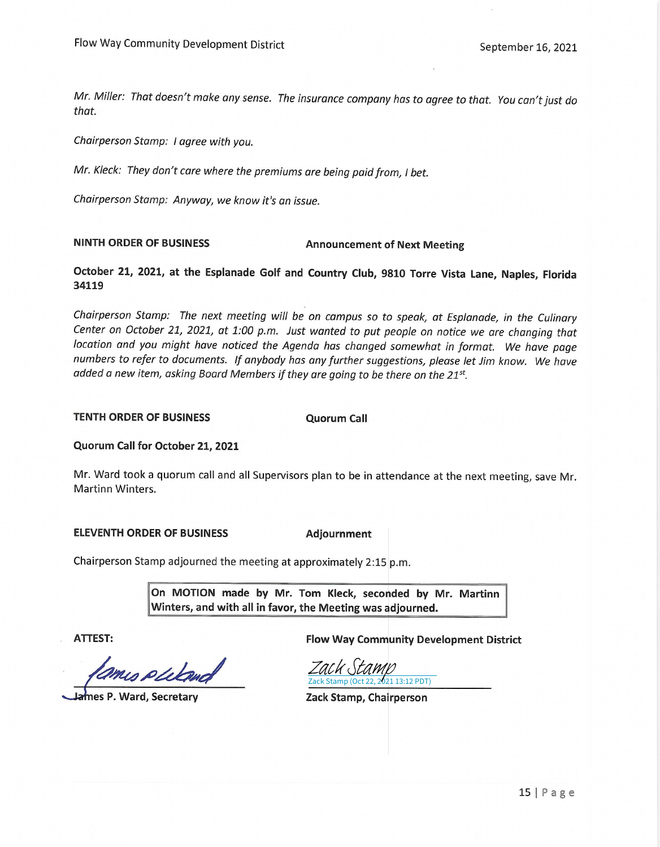Mr. Miller: That doesn't make any sense. The insurance company has to agree to that. You can't just do that.

Chairperson Stamp: I agree with you.

Mr. Kleck: They don't care where the premiums are being paid from, I bet.

Chairperson Stamp: Anyway, we know it's an issue.

#### **NINTH ORDER OF BUSINESS**

#### **Announcement of Next Meeting**

October 21, 2021, at the Esplanade Golf and Country Club, 9810 Torre Vista Lane, Naples, Florida 34119

Chairperson Stamp: The next meeting will be on campus so to speak, at Esplanade, in the Culinary Center on October 21, 2021, at 1:00 p.m. Just wanted to put people on notice we are changing that location and you might have noticed the Agenda has changed somewhat in format. We have page numbers to refer to documents. If anybody has any further suggestions, please let Jim know. We have added a new item, asking Board Members if they are going to be there on the 21st.

TENTH ORDER OF BUSINESS

**Quorum Call** 

Quorum Call for October 21, 2021

Mr. Ward took a quorum call and all Supervisors plan to be in attendance at the next meeting, save Mr. Martinn Winters.

**ELEVENTH ORDER OF BUSINESS** 

Adjournment

Chairperson Stamp adjourned the meeting at approximately 2:15 p.m.

On MOTION made by Mr. Tom Kleck, seconded by Mr. Martinn Winters, and with all in favor, the Meeting was adjourned.

**ATTEST:** 

mis puland

nes P. Ward, Secretary

**Flow Way Community Development District** 

Zack Stamp (Oct 22, 2021 13:12 PDT) [Zack Stamp](https://na2.documents.adobe.com/verifier?tx=CBJCHBCAABAAuO_x1il8QC7czgWrfiNXRnweu2y-VEVZ)

Zack Stamp, Chairperson